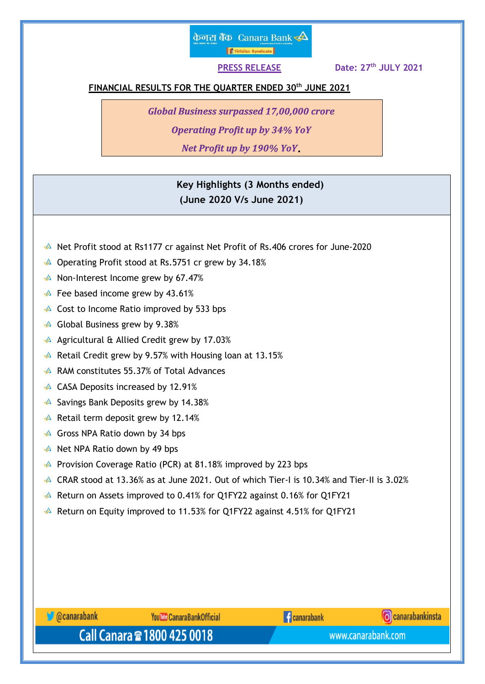# केनरा बैंक Canara Bank  $\clubsuit$ **Fürste Syndicate**

 **PRESS RELEASE Date: 27th JULY 2021**

## **FINANCIAL RESULTS FOR THE QUARTER ENDED 30 th JUNE 2021**

*Global Business surpassed 17,00,000 crore*

*Operating Profit up by 34% YoY*

*Net Profit up by 190% YoY*

 **Key Highlights (3 Months ended) (June 2020 V/s June 2021)**

- Net Profit stood at Rs1177 cr against Net Profit of Rs.406 crores for June-2020
- Operating Profit stood at Rs.5751 cr grew by 34.18%
- $\triangle$  Non-Interest Income grew by 67.47%
- $\triangle$  Fee based income grew by 43.61%
- $\triangle$  Cost to Income Ratio improved by 533 bps
- $\triangle$  Global Business grew by 9.38%
- A Agricultural  $\hat{\alpha}$  Allied Credit grew by 17.03%
- $\triangle$  Retail Credit grew by 9.57% with Housing loan at 13.15%
- RAM constitutes 55.37% of Total Advances
- **△ CASA Deposits increased by 12.91%**
- $\triangle$  Savings Bank Deposits grew by 14.38%
- $\triangle$  Retail term deposit grew by 12.14%
- $\triangle$  Gross NPA Ratio down by 34 bps
- A Net NPA Ratio down by 49 bps
- **A** Provision Coverage Ratio (PCR) at 81.18% improved by 223 bps
- $\triangle$  CRAR stood at 13.36% as at June 2021. Out of which Tier-I is 10.34% and Tier-II is 3.02%
- Return on Assets improved to 0.41% for Q1FY22 against 0.16% for Q1FY21
- Return on Equity improved to 11.53% for Q1FY22 against 4.51% for Q1FY21



www.canarabank.com